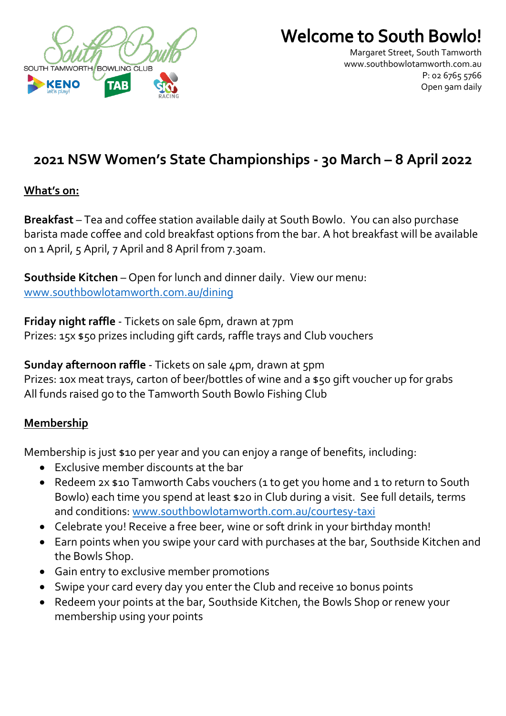

# **Welcome to South Bowlo!**

Margaret Street, South Tamworth [www.southbowlotamworth.com.au](http://www.southbowlotamworth.com.au/) P: 02 6765 5766 Open 9am daily

# **2021 NSW Women's State Championships - 30 March – 8 April 2022**

#### **What's on:**

**Breakfast** – Tea and coffee station available daily at South Bowlo. You can also purchase barista made coffee and cold breakfast options from the bar. A hot breakfast will be available on 1 April, 5 April, 7 April and 8 April from 7.30am.

**Southside Kitchen** – Open for lunch and dinner daily. View our menu: [www.southbowlotamworth.com.au/dining](http://www.southbowlotamworth.com.au/dining)

**Friday night raffle** - Tickets on sale 6pm, drawn at 7pm Prizes: 15x \$50 prizes including gift cards, raffle trays and Club vouchers

**Sunday afternoon raffle** - Tickets on sale 4pm, drawn at 5pm Prizes: 10x meat trays, carton of beer/bottles of wine and a \$50 gift voucher up for grabs All funds raised go to the Tamworth South Bowlo Fishing Club

## **Membership**

Membership is just \$10 per year and you can enjoy a range of benefits, including:

- Exclusive member discounts at the bar
- Redeem 2x \$10 Tamworth Cabs vouchers (1 to get you home and 1 to return to South Bowlo) each time you spend at least \$20 in Club during a visit. See full details, terms and conditions: [www.southbowlotamworth.com.au/courtesy-taxi](http://www.southbowlotamworth.com.au/courtesy-taxi)
- Celebrate you! Receive a free beer, wine or soft drink in your birthday month!
- Earn points when you swipe your card with purchases at the bar, Southside Kitchen and the Bowls Shop.
- Gain entry to exclusive member promotions
- Swipe your card every day you enter the Club and receive 10 bonus points
- Redeem your points at the bar, Southside Kitchen, the Bowls Shop or renew your membership using your points